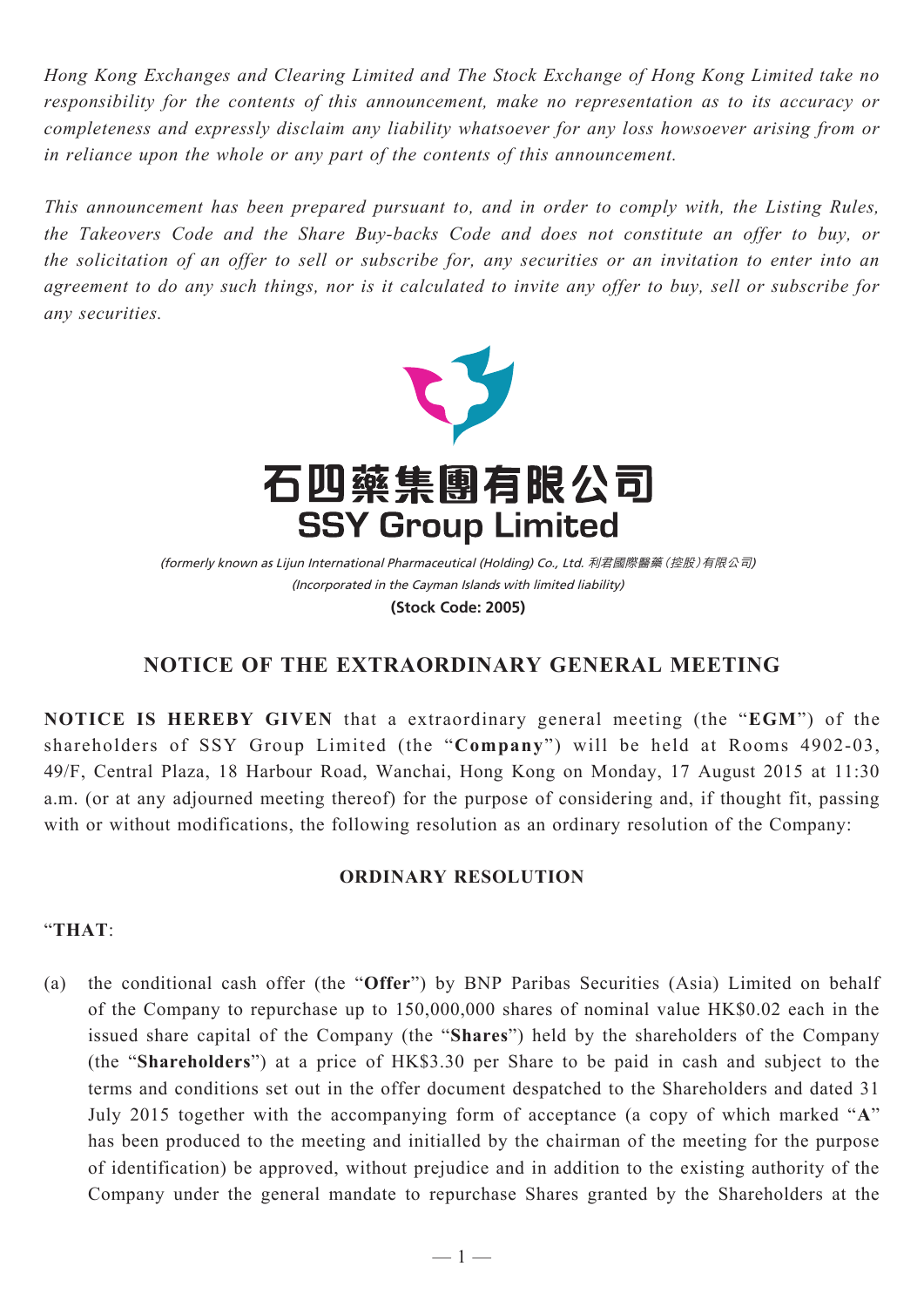*Hong Kong Exchanges and Clearing Limited and The Stock Exchange of Hong Kong Limited take no responsibility for the contents of this announcement, make no representation as to its accuracy or completeness and expressly disclaim any liability whatsoever for any loss howsoever arising from or in reliance upon the whole or any part of the contents of this announcement.*

*This announcement has been prepared pursuant to, and in order to comply with, the Listing Rules, the Takeovers Code and the Share Buy-backs Code and does not constitute an offer to buy, or the solicitation of an offer to sell or subscribe for, any securities or an invitation to enter into an agreement to do any such things, nor is it calculated to invite any offer to buy, sell or subscribe for any securities.*



(Incorporated in the Cayman Islands with limited liability) (formerly known as Lijun International Pharmaceutical (Holding) Co., Ltd. 利君國際醫藥(控股)有限公司) **(Stock Code: 2005)**

## **NOTICE OF THE EXTRAORDINARY GENERAL MEETING**

**NOTICE IS HEREBY GIVEN** that a extraordinary general meeting (the "**EGM**") of the shareholders of SSY Group Limited (the "**Company**") will be held at Rooms 4902-03, 49/F, Central Plaza, 18 Harbour Road, Wanchai, Hong Kong on Monday, 17 August 2015 at 11:30 a.m. (or at any adjourned meeting thereof) for the purpose of considering and, if thought fit, passing with or without modifications, the following resolution as an ordinary resolution of the Company:

## **ORDINARY RESOLUTION**

## "**THAT**:

(a) the conditional cash offer (the "**Offer**") by BNP Paribas Securities (Asia) Limited on behalf of the Company to repurchase up to 150,000,000 shares of nominal value HK\$0.02 each in the issued share capital of the Company (the "**Shares**") held by the shareholders of the Company (the "**Shareholders**") at a price of HK\$3.30 per Share to be paid in cash and subject to the terms and conditions set out in the offer document despatched to the Shareholders and dated 31 July 2015 together with the accompanying form of acceptance (a copy of which marked "**A**" has been produced to the meeting and initialled by the chairman of the meeting for the purpose of identification) be approved, without prejudice and in addition to the existing authority of the Company under the general mandate to repurchase Shares granted by the Shareholders at the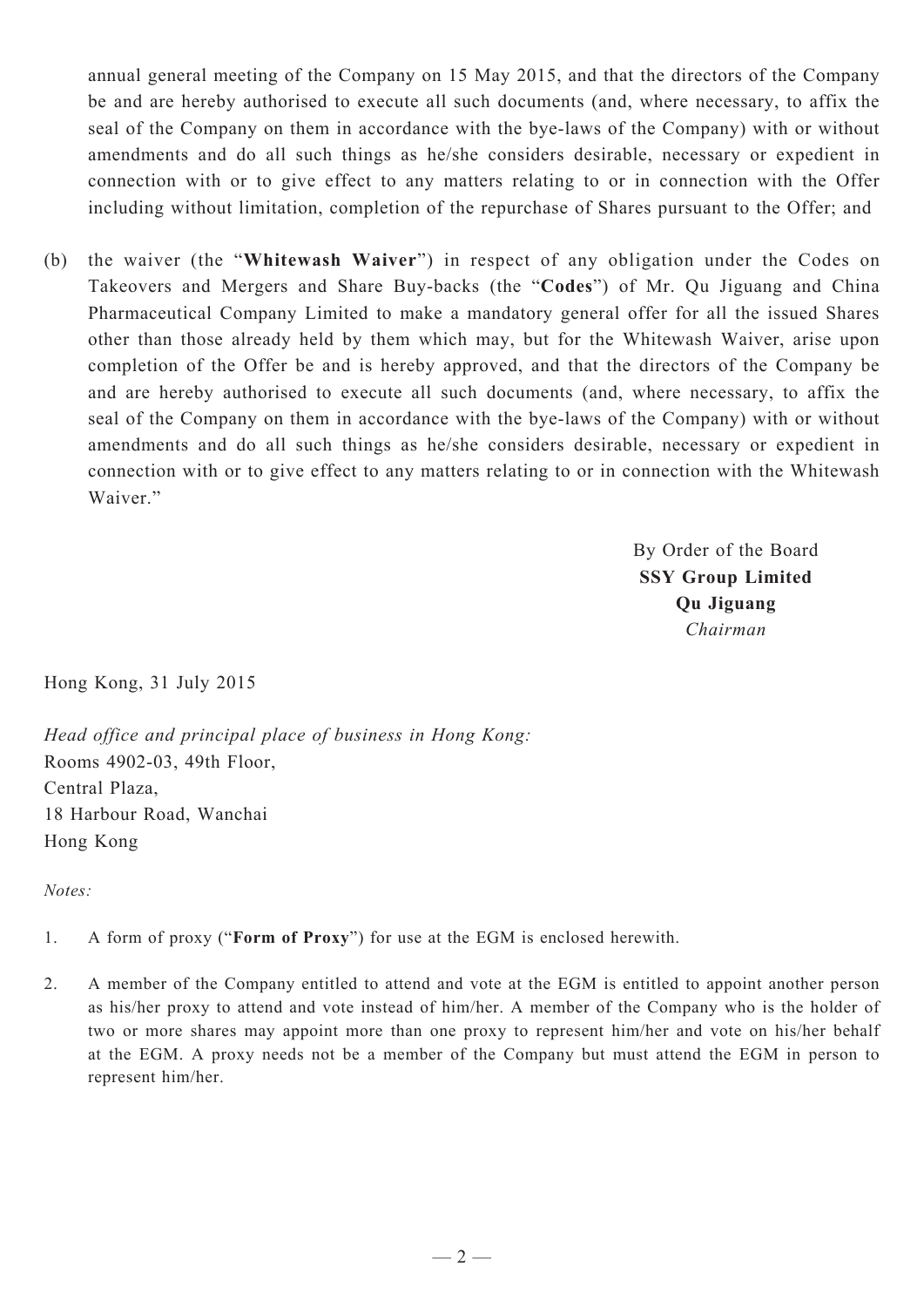annual general meeting of the Company on 15 May 2015, and that the directors of the Company be and are hereby authorised to execute all such documents (and, where necessary, to affix the seal of the Company on them in accordance with the bye-laws of the Company) with or without amendments and do all such things as he/she considers desirable, necessary or expedient in connection with or to give effect to any matters relating to or in connection with the Offer including without limitation, completion of the repurchase of Shares pursuant to the Offer; and

(b) the waiver (the "**Whitewash Waiver**") in respect of any obligation under the Codes on Takeovers and Mergers and Share Buy-backs (the "**Codes**") of Mr. Qu Jiguang and China Pharmaceutical Company Limited to make a mandatory general offer for all the issued Shares other than those already held by them which may, but for the Whitewash Waiver, arise upon completion of the Offer be and is hereby approved, and that the directors of the Company be and are hereby authorised to execute all such documents (and, where necessary, to affix the seal of the Company on them in accordance with the bye-laws of the Company) with or without amendments and do all such things as he/she considers desirable, necessary or expedient in connection with or to give effect to any matters relating to or in connection with the Whitewash Waiver."

> By Order of the Board **SSY Group Limited Qu Jiguang** *Chairman*

Hong Kong, 31 July 2015

*Head office and principal place of business in Hong Kong:* Rooms 4902-03, 49th Floor, Central Plaza, 18 Harbour Road, Wanchai Hong Kong

*Notes:*

- 1. A form of proxy ("**Form of Proxy**") for use at the EGM is enclosed herewith.
- 2. A member of the Company entitled to attend and vote at the EGM is entitled to appoint another person as his/her proxy to attend and vote instead of him/her. A member of the Company who is the holder of two or more shares may appoint more than one proxy to represent him/her and vote on his/her behalf at the EGM. A proxy needs not be a member of the Company but must attend the EGM in person to represent him/her.